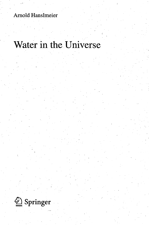Arnold Hanslmeier

## Water in the Universe

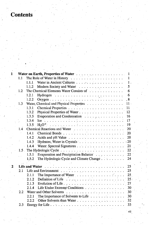## **Contents**  $\hat{\mathcal{L}}_{\text{max}}$

| 1            |                  |                                                                                      | 1            |
|--------------|------------------|--------------------------------------------------------------------------------------|--------------|
|              | 1.1              |                                                                                      | $1^{\circ}$  |
|              |                  |                                                                                      | 1.           |
|              |                  | Modern Society and Water<br>1.1.2                                                    | 5            |
|              | 1.2 <sub>2</sub> | The Chemical Elements Water Consists of                                              | 6            |
|              |                  | 1.2.1                                                                                | 6            |
|              |                  | 1.2.2                                                                                | .8           |
|              | 1.3              | Water, Chemical and Physical Properties                                              | $\cdot 11$ . |
|              |                  | 1.3.1                                                                                | 11           |
|              |                  | 1.3.2                                                                                | 12           |
|              |                  | Evaporation and Condensation<br>1.3.3                                                | 16           |
|              |                  | 1.3.4                                                                                | 17           |
|              |                  | 1.3.5                                                                                | 19           |
|              | $-1.4$           |                                                                                      | $20^{\circ}$ |
|              |                  | 1.4.1                                                                                | 20           |
|              |                  | 1.4.2                                                                                | 20           |
|              |                  | 1.4.3                                                                                | $-20$        |
|              |                  | 1.4.4                                                                                | 21           |
|              | $1.5$ .          |                                                                                      | 22           |
|              |                  | Evaporation and Precipitation Balance<br>1.5.1                                       | 22           |
|              |                  | The Hydrologic Cycle and Climate Change<br>1.5.2                                     | 24           |
|              |                  |                                                                                      |              |
| $\mathbf{2}$ |                  |                                                                                      | 25           |
|              | 2.1              | Life and Environment                                                                 | $-25$        |
|              |                  | The Importance of Water $\ldots \ldots \ldots \ldots \ldots$<br>2.1.1                | 25           |
|              |                  | 2.1.2                                                                                | $25 -$       |
|              |                  | Evolution of Life<br>2.1.3                                                           | 27           |
|              |                  | Life Under Extreme Conditions<br>2.1.4                                               | 30           |
|              | 2.2              | Water and Other Solvents Albert 2014 and Albert 2014 and Albert 30 and 2014 and 2015 | 30           |
|              |                  | The Importance of Solvents to Life<br>2.2.1                                          | 30.          |
|              |                  | 2.2.2                                                                                | 32           |
|              | 2.3              |                                                                                      | 33           |

vii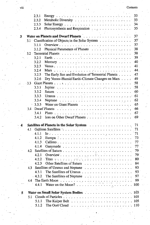|   |         | 2.3.1<br>Energy.                                                                                                                                                                                                                                                                                                                                                                                                         | 33           |
|---|---------|--------------------------------------------------------------------------------------------------------------------------------------------------------------------------------------------------------------------------------------------------------------------------------------------------------------------------------------------------------------------------------------------------------------------------|--------------|
|   |         | 2.3.2                                                                                                                                                                                                                                                                                                                                                                                                                    | 33           |
|   |         | 2.3.3                                                                                                                                                                                                                                                                                                                                                                                                                    | 34           |
|   |         | Photosynthesis and Respiration $\cdots$ ,<br>2.3.4                                                                                                                                                                                                                                                                                                                                                                       | 35           |
| 3 |         | Water on Planets and Dwarf Planets <b>Constanting Contract Planets</b>                                                                                                                                                                                                                                                                                                                                                   | $\sim$<br>37 |
|   |         | 3.1 Classification of Objects in the Solar System                                                                                                                                                                                                                                                                                                                                                                        | $37^{\circ}$ |
|   |         | 3.1.1                                                                                                                                                                                                                                                                                                                                                                                                                    | 37           |
|   |         | Physical Parameters of Planets<br>3.1.2                                                                                                                                                                                                                                                                                                                                                                                  | 38           |
|   |         |                                                                                                                                                                                                                                                                                                                                                                                                                          | 38           |
|   |         | 3.2.1                                                                                                                                                                                                                                                                                                                                                                                                                    | 39           |
|   |         | 3.2.2                                                                                                                                                                                                                                                                                                                                                                                                                    | 40           |
|   |         | 3.2.3                                                                                                                                                                                                                                                                                                                                                                                                                    | 41           |
|   |         | 3.2.4                                                                                                                                                                                                                                                                                                                                                                                                                    | 44.          |
|   |         | Mars $\ldots$ , $\ldots$ , $\ldots$ , $\ldots$ , $\ldots$ , $\ldots$ , $\ldots$ , $\ldots$ , $\ldots$ , $\ldots$ , $\ldots$ , $\ldots$ , $\ldots$ , $\ldots$ , $\ldots$ , $\ldots$ , $\ldots$ , $\ldots$ , $\ldots$ , $\ldots$ , $\ldots$ , $\ldots$ , $\ldots$ , $\ldots$ , $\ldots$ , $\ldots$ , $\ldots$ , $\ldots$ , $\ldots$ , $\ldots$ , $\ldots$ ,<br>The Early Sun and Evolution of Terrestrial Planets<br>3.2.5 | 47           |
|   |         |                                                                                                                                                                                                                                                                                                                                                                                                                          | 49           |
|   |         | Dry Venus-Humid Earth-Climate Changes on Mars<br>3.2.6                                                                                                                                                                                                                                                                                                                                                                   |              |
|   | $3.3 -$ |                                                                                                                                                                                                                                                                                                                                                                                                                          | 58           |
|   |         | 3.3.1                                                                                                                                                                                                                                                                                                                                                                                                                    | .58          |
|   |         | $3.3.2^{\circ}$                                                                                                                                                                                                                                                                                                                                                                                                          | 60           |
|   |         | 3.3.3                                                                                                                                                                                                                                                                                                                                                                                                                    | 61           |
|   |         | 3.3.4                                                                                                                                                                                                                                                                                                                                                                                                                    | 62           |
|   |         | 3.3.5                                                                                                                                                                                                                                                                                                                                                                                                                    | 65           |
|   | 3.4     | Dwarf Planets $\ldots$ , $\ldots$ , $\ldots$ , $\ldots$ , $\ldots$ , $\ldots$ , $\ldots$ , $\ldots$ , $\ldots$                                                                                                                                                                                                                                                                                                           | 66           |
|   |         | 3.4.1                                                                                                                                                                                                                                                                                                                                                                                                                    | 67           |
|   |         | 3.4.2                                                                                                                                                                                                                                                                                                                                                                                                                    | $-69$        |
| 4 |         |                                                                                                                                                                                                                                                                                                                                                                                                                          | 71           |
|   | 4.1     | Galilean Satellites contained a series and series and series and series and series are series and series are series and series are series of the series of the series of the series of the series of the series of the series                                                                                                                                                                                            | .71          |
|   |         | .4.1.1                                                                                                                                                                                                                                                                                                                                                                                                                   | 71           |
|   |         | 4.1.2                                                                                                                                                                                                                                                                                                                                                                                                                    | 73           |
|   |         | 4.1.3                                                                                                                                                                                                                                                                                                                                                                                                                    | 77           |
|   |         | 4.1.4                                                                                                                                                                                                                                                                                                                                                                                                                    | -77          |
|   | 4.2     |                                                                                                                                                                                                                                                                                                                                                                                                                          | 79           |
|   |         | 4.2.1                                                                                                                                                                                                                                                                                                                                                                                                                    | 79           |
|   |         | 4.2.2 Titan and a resolution of the complete state of the control of the control of the control of the control of the control of the control of the control of the control of the control of the control of the control of the                                                                                                                                                                                           | 80           |
|   |         | 4.2.3<br>Other Satellites of Saturn                                                                                                                                                                                                                                                                                                                                                                                      | 84           |
|   | 4.3     |                                                                                                                                                                                                                                                                                                                                                                                                                          | 93           |
|   |         | 4.3.1                                                                                                                                                                                                                                                                                                                                                                                                                    | 93           |
|   |         | $-4.3.2$                                                                                                                                                                                                                                                                                                                                                                                                                 | 97           |
|   | 4.4     |                                                                                                                                                                                                                                                                                                                                                                                                                          | 99           |
|   |         | 4.4.1                                                                                                                                                                                                                                                                                                                                                                                                                    | 100          |
|   |         |                                                                                                                                                                                                                                                                                                                                                                                                                          |              |
| 5 |         |                                                                                                                                                                                                                                                                                                                                                                                                                          |              |
|   | 5.1     |                                                                                                                                                                                                                                                                                                                                                                                                                          | 105          |
|   |         | 5.1.1                                                                                                                                                                                                                                                                                                                                                                                                                    | 105          |
|   |         | 5.1.2                                                                                                                                                                                                                                                                                                                                                                                                                    |              |
|   |         |                                                                                                                                                                                                                                                                                                                                                                                                                          |              |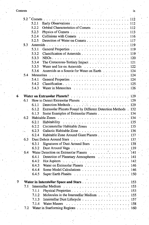## Contents . ..'.- • i x

|   |     | 5.2.1    |                                                               |  |
|---|-----|----------|---------------------------------------------------------------|--|
|   |     | 5.2.2    | Orbital Characteristics of Comets 112                         |  |
|   |     | 5.2.3    | Physics of Comets $\dots \dots \dots \dots \dots$             |  |
|   |     | 5.2.4    |                                                               |  |
|   |     | 5.2.5    | Detection of Water on Comets 117                              |  |
|   | 5.3 |          |                                                               |  |
|   |     | 5.3.1    |                                                               |  |
|   |     | 5.3.2    | Classification of Asteroids 119                               |  |
|   |     | 5.3.3    |                                                               |  |
|   |     | 5.3.4    | The Cretaceous-Tertiary Impact 121                            |  |
|   |     | 5.3.5    | Water and Ice on Asteroids 122                                |  |
|   |     | 5.3.6    | Asteroids as a Source for Water on Earth 124                  |  |
|   | 5.4 |          |                                                               |  |
|   |     | 5.4.1    |                                                               |  |
|   |     | 5.4.2    |                                                               |  |
|   |     | 5.4.3    |                                                               |  |
|   |     |          |                                                               |  |
| 6 |     |          |                                                               |  |
|   | 6.1 |          |                                                               |  |
|   |     | 6.1.1    |                                                               |  |
|   |     | 6.1.2    | Extrasolar Planets Found by Different Detection Methods . 132 |  |
|   |     | 6.1.3    | Some Examples of Extrasolar Planets 134                       |  |
|   | 6.2 |          |                                                               |  |
|   |     | $-6.2.1$ |                                                               |  |
|   |     | 6.2.2    | Circumstellar Habitable Zones 135                             |  |
|   |     | 6.2.3    |                                                               |  |
|   |     | 6.2.4    | Habitable Zone Around Giant Planets 137                       |  |
|   | 6.3 |          |                                                               |  |
|   |     | 6.3.1    | Signatures of Dust Around Stars 138                           |  |
|   |     | 6.3.2    |                                                               |  |
|   | 6.4 |          | Water Detection on Extrasolar Planets 141                     |  |
|   |     | 6.4.1    | Detection of Planetary Atmospheres 141                        |  |
|   |     | 6.4.2    |                                                               |  |
|   |     | 6.4.3    | Water on Extrasolar Planets 146                               |  |
|   |     | 6.4.4    | Some Model Calculations 146                                   |  |
|   |     | 6.4.5    |                                                               |  |
| 7 |     |          |                                                               |  |
|   | 7.1 |          |                                                               |  |
|   |     | 7.1.1    |                                                               |  |
|   |     | 7.1.2    | Molecules in the Interstellar Medium 155                      |  |
|   |     | 7.1.3    |                                                               |  |
|   |     | 7.1.4    |                                                               |  |
|   | 7.2 |          |                                                               |  |
|   |     |          |                                                               |  |